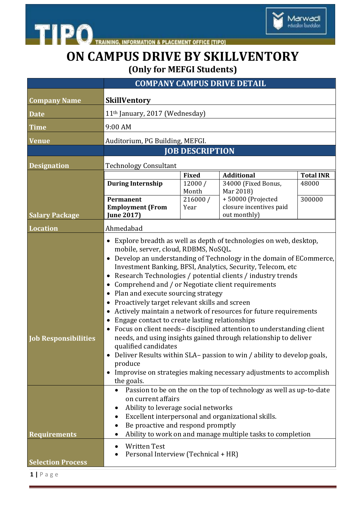



Marwadi<br>education foundation

|                                                | <b>COMPANY CAMPUS DRIVE DETAIL</b>                                                                                                                                                                                                                                                                                                                                                                                                                                                                                                                                                                                                                                                                                                                                                                                                                                                                                                                                  |                 |                                         |                  |
|------------------------------------------------|---------------------------------------------------------------------------------------------------------------------------------------------------------------------------------------------------------------------------------------------------------------------------------------------------------------------------------------------------------------------------------------------------------------------------------------------------------------------------------------------------------------------------------------------------------------------------------------------------------------------------------------------------------------------------------------------------------------------------------------------------------------------------------------------------------------------------------------------------------------------------------------------------------------------------------------------------------------------|-----------------|-----------------------------------------|------------------|
| <b>Company Name</b>                            | <b>SkillVentory</b>                                                                                                                                                                                                                                                                                                                                                                                                                                                                                                                                                                                                                                                                                                                                                                                                                                                                                                                                                 |                 |                                         |                  |
| <b>Date</b>                                    | 11 <sup>th</sup> January, 2017 (Wednesday)                                                                                                                                                                                                                                                                                                                                                                                                                                                                                                                                                                                                                                                                                                                                                                                                                                                                                                                          |                 |                                         |                  |
| <b>Time</b>                                    | 9:00 AM                                                                                                                                                                                                                                                                                                                                                                                                                                                                                                                                                                                                                                                                                                                                                                                                                                                                                                                                                             |                 |                                         |                  |
| <b>Venue</b>                                   | Auditorium, PG Building, MEFGI.                                                                                                                                                                                                                                                                                                                                                                                                                                                                                                                                                                                                                                                                                                                                                                                                                                                                                                                                     |                 |                                         |                  |
|                                                | <b>JOB DESCRIPTION</b>                                                                                                                                                                                                                                                                                                                                                                                                                                                                                                                                                                                                                                                                                                                                                                                                                                                                                                                                              |                 |                                         |                  |
| <b>Designation</b>                             | <b>Technology Consultant</b>                                                                                                                                                                                                                                                                                                                                                                                                                                                                                                                                                                                                                                                                                                                                                                                                                                                                                                                                        |                 |                                         |                  |
|                                                |                                                                                                                                                                                                                                                                                                                                                                                                                                                                                                                                                                                                                                                                                                                                                                                                                                                                                                                                                                     | <b>Fixed</b>    | <b>Additional</b>                       | <b>Total INR</b> |
|                                                | <b>During Internship</b>                                                                                                                                                                                                                                                                                                                                                                                                                                                                                                                                                                                                                                                                                                                                                                                                                                                                                                                                            | 12000/<br>Month | 34000 (Fixed Bonus,<br>Mar 2018)        | 48000            |
|                                                | <b>Permanent</b>                                                                                                                                                                                                                                                                                                                                                                                                                                                                                                                                                                                                                                                                                                                                                                                                                                                                                                                                                    | 216000 /        | +50000 (Projected                       | 300000           |
| <b>Salary Package</b>                          | <b>Employment (From</b><br><b>June 2017)</b>                                                                                                                                                                                                                                                                                                                                                                                                                                                                                                                                                                                                                                                                                                                                                                                                                                                                                                                        | Year            | closure incentives paid<br>out monthly) |                  |
|                                                |                                                                                                                                                                                                                                                                                                                                                                                                                                                                                                                                                                                                                                                                                                                                                                                                                                                                                                                                                                     |                 |                                         |                  |
| <b>Location</b>                                | Ahmedabad                                                                                                                                                                                                                                                                                                                                                                                                                                                                                                                                                                                                                                                                                                                                                                                                                                                                                                                                                           |                 |                                         |                  |
| <b>Job Responsibilities</b>                    | mobile, server, cloud, RDBMS, NoSQL.<br>• Develop an understanding of Technology in the domain of ECommerce,<br>Investment Banking, BFSI, Analytics, Security, Telecom, etc<br>Research Technologies / potential clients / industry trends<br>$\bullet$<br>Comprehend and / or Negotiate client requirements<br>Plan and execute sourcing strategy<br>٠<br>Proactively target relevant skills and screen<br>$\bullet$<br>Actively maintain a network of resources for future requirements<br>٠<br>Engage contact to create lasting relationships<br>Focus on client needs-disciplined attention to understanding client<br>needs, and using insights gained through relationship to deliver<br>qualified candidates<br>Deliver Results within SLA- passion to win / ability to develop goals,<br>produce<br>Improvise on strategies making necessary adjustments to accomplish<br>the goals.<br>Passion to be on the on the top of technology as well as up-to-date |                 |                                         |                  |
| <b>Requirements</b>                            | on current affairs<br>Ability to leverage social networks<br>Excellent interpersonal and organizational skills.<br>٠<br>Be proactive and respond promptly<br>Ability to work on and manage multiple tasks to completion                                                                                                                                                                                                                                                                                                                                                                                                                                                                                                                                                                                                                                                                                                                                             |                 |                                         |                  |
| <b>Selection Process</b><br>$1   P \text{age}$ | <b>Written Test</b><br>Personal Interview (Technical + HR)                                                                                                                                                                                                                                                                                                                                                                                                                                                                                                                                                                                                                                                                                                                                                                                                                                                                                                          |                 |                                         |                  |